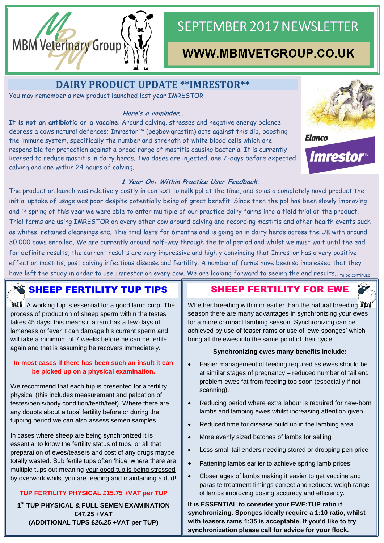

# **SEPTEMBER 2017 NEWSLETTER**

## WWW.MBMVETGROUP.CO.UK

**DAIRY PRODUCT UPDATE \*\*IMRESTOR\*\***

You may remember a new product launched last year IMRESTOR.

#### **Here's a reminder…**

**It is not an antibiotic or a vaccine**. Around calving, stresses and negative energy balance depress a cows natural defences; Imrestor™ (pegbovigrastim) acts against this dip, boosting the immune system, specifically the number and strength of white blood cells which are responsible for protection against a broad range of mastitis causing bacteria. It is currently licensed to reduce mastitis in dairy herds. Two doses are injected, one 7-days before expected calving and one within 24 hours of calving.



*Imrestor* 

#### **1 Year On: Within Practice User Feedback..**

The product on launch was relatively costly in context to milk ppl at the time, and so as a completely novel product the initial uptake of usage was poor despite potentially being of great benefit. Since then the ppl has been slowly improving and in spring of this year we were able to enter multiple of our practice dairy farms into a field trial of the product. Trial farms are using IMRESTOR on every other cow around calving and recording mastitis and other health events such as whites, retained cleansings etc. This trial lasts for 6months and is going on in dairy herds across the UK with around 30,000 cows enrolled. We are currently around half-way through the trial period and whilst we must wait until the end for definite results, the current results are very impressive and highly convincing that Imrestor has a very positive effect on mastitis, post calving infectious disease and fertility. A number of farms have been so impressed that they have left the study in order to use Imrestor on every cow. We are looking forward to seeing the end results.. to be continued

### **SHEEP FERTILITY TUP TIPS**

**M1** A working tup is essential for a good lamb crop. The process of production of sheep sperm within the testes takes 45 days, this means if a ram has a few days of lameness or fever it can damage his current sperm and will take a minimum of 7 weeks before he can be fertile again and that is assuming he recovers immediately.

#### **In most cases if there has been such an insult it can be picked up on a physical examination.**

We recommend that each tup is presented for a fertility physical (this includes measurement and palpation of testes/penis/body condition/teeth/feet). Where there are any doubts about a tups' fertility before or during the tupping period we can also assess semen samples.

In cases where sheep are being synchronized it is essential to know the fertility status of tups, or all that preparation of ewes/teasers and cost of any drugs maybe totally wasted. Sub fertile tups often 'hide' where there are multiple tups out meaning your good tup is being stressed by overwork whilst you are feeding and maintaining a dud!

### **TUP FERTILITY PHYSICAL £15.75 +VAT per TUP**

**1 st TUP PHYSICAL & FULL SEMEN EXAMINATION £47.25 +VAT (ADDITIONAL TUPS £26.25 +VAT per TUP)**

### SHEEP FERTILITY FOR EWE

Whether breeding within or earlier than the natural breeding TM season there are many advantages in synchronizing your ewes for a more compact lambing season. Synchronizing can be achieved by use of teaser rams or use of 'ewe sponges' which bring all the ewes into the same point of their cycle.

#### **Synchronizing ewes many benefits include:**

- Easier management of feeding required as ewes should be at similar stages of pregnancy – reduced number of tail end problem ewes fat from feeding too soon (especially if not scanning).
- Reducing period where extra labour is required for new-born lambs and lambing ewes whilst increasing attention given
- Reduced time for disease build up in the lambing area
- More evenly sized batches of lambs for selling
- Less small tail enders needing stored or dropping pen price
- Fattening lambs earlier to achieve spring lamb prices
- Closer ages of lambs making it easier to get vaccine and parasite treatment timings correct and reduced weigh range of lambs improving dosing accuracy and efficiency.

**It is ESSENTIAL to consider your EWE:TUP ratio if synchronizing. Sponges ideally require a 1:10 ratio, whilst with teasers rams 1:35 is acceptable. If you'd like to try synchronization please call for advice for your flock.**